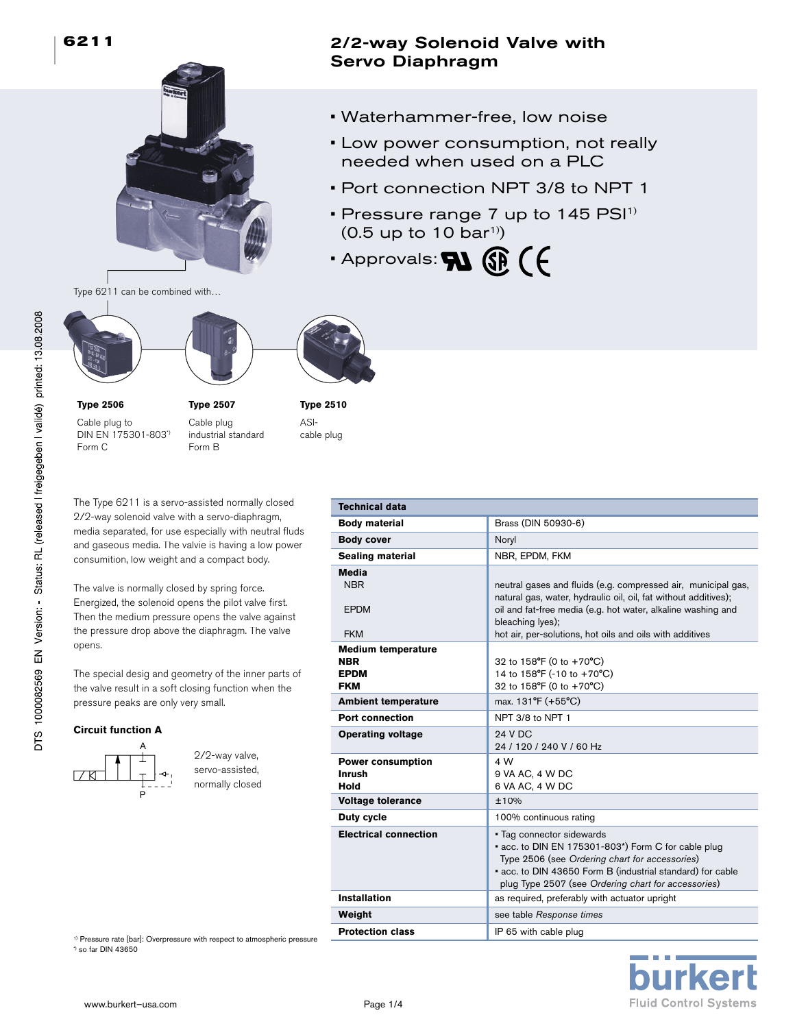

2/2-way Solenoid Valve with Servo Diaphragm

- Waterhammer-free, low noise
- Low power consumption, not really needed when used on a PLC
- Port connection NPT 3/8 to NPT 1
- Pressure range  $7$  up to 145  $PSI<sup>1</sup>$  $(0.5 \text{ up to } 10 \text{ bar}^1)$
- $\cdot$  Approvals:  $\mathbf{N}$   $\circledR$   $\circ$

Type 6211 can be combined with…







**Type 2506**

Cable plug to DIN EN 175301-803\*) Form C

**Type 2507** Cable plug industrial standard Form B

**Type 2510** ASIcable plug

The Type 6211 is a servo-assisted normally closed 2/2-way solenoid valve with a servo-diaphragm, media separated, for use especially with neutral fluds and gaseous media. The valvie is having a low power consumition, low weight and a compact body.

The valve is normally closed by spring force. Energized, the solenoid opens the pilot valve first. Then the medium pressure opens the valve against the pressure drop above the diaphragm. The valve opens.

The special desig and geometry of the inner parts of the valve result in a soft closing function when the pressure peaks are only very small.

<sup>1)</sup> Pressure rate [bar]: Overpressure with respect to atmospheric pressure

## **Circuit function A**



2/2-way valve, servo-assisted, normally closed

| <b>Technical data</b>                                                |                                                                                                                                                                                                                                                                                  |
|----------------------------------------------------------------------|----------------------------------------------------------------------------------------------------------------------------------------------------------------------------------------------------------------------------------------------------------------------------------|
| <b>Body material</b>                                                 | Brass (DIN 50930-6)                                                                                                                                                                                                                                                              |
| <b>Body cover</b>                                                    | Noryl                                                                                                                                                                                                                                                                            |
| <b>Sealing material</b>                                              | NBR, EPDM, FKM                                                                                                                                                                                                                                                                   |
| Media<br><b>NBR</b><br><b>EPDM</b><br><b>FKM</b>                     | neutral gases and fluids (e.g. compressed air, municipal gas,<br>natural gas, water, hydraulic oil, oil, fat without additives);<br>oil and fat-free media (e.g. hot water, alkaline washing and<br>bleaching lyes);<br>hot air, per-solutions, hot oils and oils with additives |
| <b>Medium temperature</b><br><b>NBR</b><br><b>EPDM</b><br><b>FKM</b> | 32 to 158°F (0 to +70°C)<br>14 to 158°F (-10 to +70°C)<br>32 to 158°F (0 to +70°C)                                                                                                                                                                                               |
| <b>Ambient temperature</b>                                           | max. 131°F (+55°C)                                                                                                                                                                                                                                                               |
| Port connection                                                      | NPT 3/8 to NPT 1                                                                                                                                                                                                                                                                 |
| <b>Operating voltage</b>                                             | <b>24 V DC</b><br>24 / 120 / 240 V / 60 Hz                                                                                                                                                                                                                                       |
| <b>Power consumption</b><br><b>Inrush</b><br>Hold                    | 4 W<br>9 VA AC, 4 W DC<br>6 VA AC, 4 W DC                                                                                                                                                                                                                                        |
| <b>Voltage tolerance</b>                                             | ±10%                                                                                                                                                                                                                                                                             |
| Duty cycle                                                           | 100% continuous rating                                                                                                                                                                                                                                                           |
| <b>Electrical connection</b>                                         | • Tag connector sidewards<br>acc. to DIN EN 175301-803*) Form C for cable plug<br>Type 2506 (see Ordering chart for accessories)<br>• acc. to DIN 43650 Form B (industrial standard) for cable<br>plug Type 2507 (see Ordering chart for accessories)                            |
| <b>Installation</b>                                                  | as required, preferably with actuator upright                                                                                                                                                                                                                                    |
| Weight                                                               | see table Response times                                                                                                                                                                                                                                                         |
| <b>Protection class</b>                                              | IP 65 with cable plug                                                                                                                                                                                                                                                            |



\*) so far DIN 43650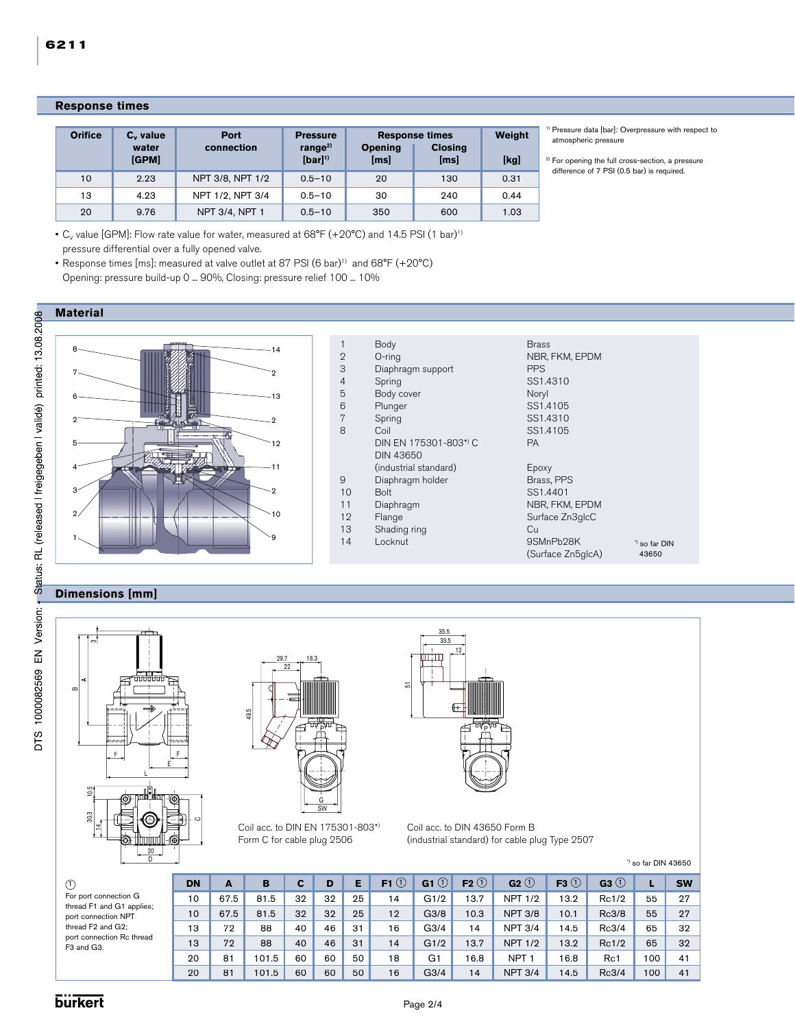|--|

| <b>Orifice</b> | $C_v$ value<br>water<br>[GPM] | Port<br>connection | <b>Pressure</b><br>range $^{2)}$<br>$[bar]$ <sup>1)</sup> | <b>Opening</b><br>[ms] | <b>Response times</b><br><b>Closing</b><br>[ms] | Weight<br>[kg] |
|----------------|-------------------------------|--------------------|-----------------------------------------------------------|------------------------|-------------------------------------------------|----------------|
| 10             | 2.23                          | NPT 3/8, NPT 1/2   | $0.5 - 10$                                                | 20                     | 130                                             | 0.31           |
| 13             | 4.23                          | NPT 1/2, NPT 3/4   | $0.5 - 10$                                                | 30                     | 240                                             | 0.44           |
| 20             | 9.76                          | NPT 3/4, NPT 1     | $0.5 - 10$                                                | 350                    | 600                                             | 1.03           |

1) Pressure data [bar]: Overpressure with respect to atmospheric pressure

<sup>2)</sup> For opening the full cross-section, a pressure difference of 7 PSI (0.5 bar) is required.

•  $C_V$  value [GPM]: Flow rate value for water, measured at 68°F (+20°C) and 14.5 PSI (1 bar)<sup>1)</sup> pressure differential over a fully opened valve.

• Response times [ms]: measured at valve outlet at 87 PSI (6 bar)<sup>1)</sup> and 68°F (+20°C) Opening: pressure build-up 0 ... 90%, Closing: pressure relief 100 ... 10%



# **Dimensions [mm]**







Coil acc. to DIN EN 175301-803\*) Form C for cable plug 2506



Coil acc. to DIN 43650 Form B (industrial standard) for cable plug Type 2507

 $^{\circ}$  so far DIN 43650

| Œ.                                               | <b>DN</b> | A    | в     |    | D  |    | F1 $\left( 1\right)$ | G1 $\circ$       | $F2$ <sup>(1)</sup> | $G2$ <sup>(1)</sup> | F3 $\circledcirc$ | G3(1) |     | <b>SW</b> |
|--------------------------------------------------|-----------|------|-------|----|----|----|----------------------|------------------|---------------------|---------------------|-------------------|-------|-----|-----------|
| For port connection G                            | 10        | 67.5 | 81.5  | 32 | 32 | 25 | 14                   | G1/2             | 13.7                | <b>NPT 1/2</b>      | 13.2              | Rc1/2 | 55  | 27        |
| thread F1 and G1 applies;<br>port connection NPT | 10        | 67.5 | 81.5  | 32 | 32 | 25 | 12                   | G3/8             | 10.3                | <b>NPT 3/8</b>      | 10.1              | Rc3/8 | 55  | 27        |
| thread F2 and G2;                                | 13        | 72   | 88    | 40 | 46 | 31 | 16                   | G3/4             | 14                  | <b>NPT 3/4</b>      | 14.5              | Rc3/4 | 65  | 32        |
| port connection Rc thread<br>F3 and G3.          | 13        | 72   | 88    | 40 | 46 | 31 | 14                   | G1/2             | 13.7                | <b>NPT 1/2</b>      | 13.2              | Rc1/2 | 65  | 32        |
|                                                  | 20        | 81   | 101.5 | 60 | 60 | 50 | 18                   | G <sub>1</sub>   | 16.8                | <b>NPT</b>          | 16.8              | Rc1   | 100 | 41        |
|                                                  | 20        | 81   | 101.5 | 60 | 60 | 50 | 16                   | G <sub>3/4</sub> | 14                  | <b>NPT 3/4</b>      | 14.5              | Rc3/4 | 100 | 41        |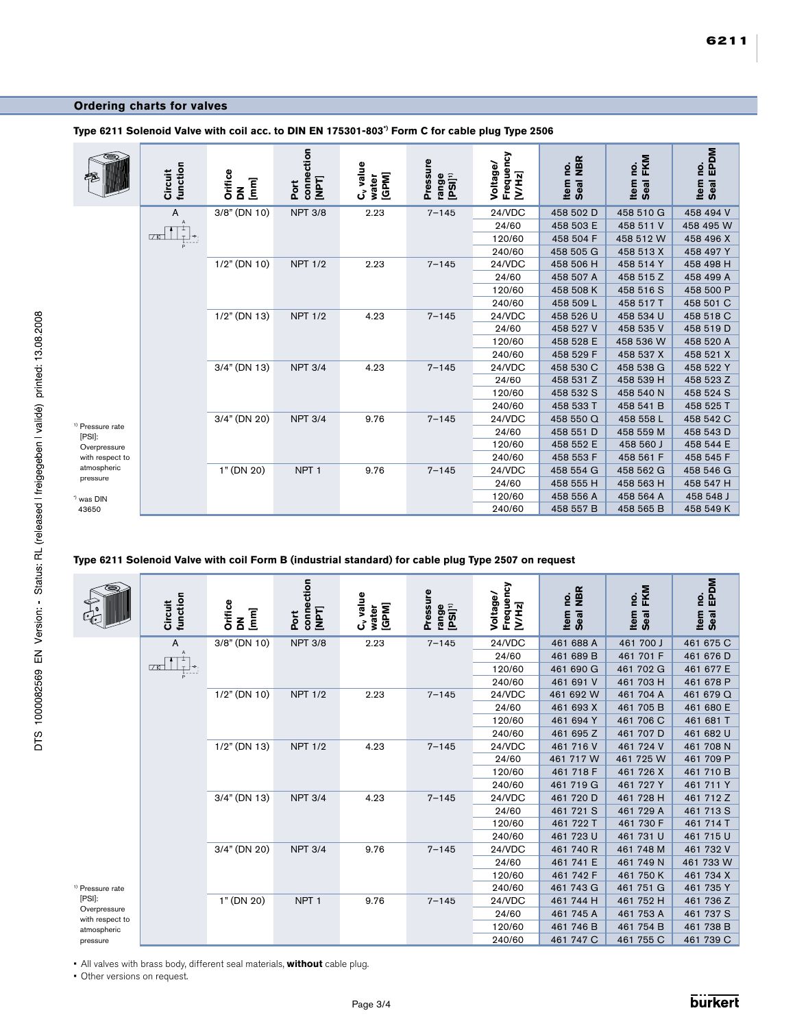### **Ordering charts for valves**

|                                       | function<br>Circuit        | Orifice<br>$\sum_{i=1}^{n}$ | connection<br>[NPT]<br>Port | $C_{v}$ value<br>water<br>[GPM] | Pressure<br>range<br>[PSI] <sup>1)</sup> | Frequency<br>Voltage/<br>[V/Hz] | Seal NBR<br>Item no. | Seal FKM<br>Item no. | Seal EPDM<br>Item no. |
|---------------------------------------|----------------------------|-----------------------------|-----------------------------|---------------------------------|------------------------------------------|---------------------------------|----------------------|----------------------|-----------------------|
|                                       | A                          | 3/8" (DN 10)                | <b>NPT 3/8</b>              | 2.23                            | $7 - 145$                                | 24/VDC                          | 458 502 D            | 458 510 G            | 458 494 V             |
|                                       | $\overline{A}$             |                             |                             |                                 |                                          | 24/60                           | 458 503 E            | 458 511 V            | 458 495 W             |
|                                       | <b>70</b><br>$\frac{1}{p}$ |                             |                             |                                 |                                          | 120/60                          | 458 504 F            | 458 512 W            | 458 496 X             |
|                                       |                            |                             |                             |                                 |                                          | 240/60                          | 458 505 G            | 458 513 X            | 458 497 Y             |
|                                       |                            | $1/2$ " (DN 10)             | <b>NPT 1/2</b>              | 2.23                            | $7 - 145$                                | 24/VDC                          | 458 506 H            | 458 514 Y            | 458 498 H             |
|                                       |                            |                             |                             |                                 |                                          | 24/60                           | 458 507 A            | 458 515 Z            | 458 499 A             |
|                                       |                            |                             |                             |                                 |                                          | 120/60                          | 458 508 K            | 458 516 S            | 458 500 P             |
|                                       |                            |                             |                             |                                 |                                          | 240/60                          | 458 509 L            | 458 517 T            | 458 501 C             |
|                                       |                            | $1/2$ " (DN 13)             | <b>NPT 1/2</b>              | 4.23                            | $7 - 145$                                | 24/VDC                          | 458 526 U            | 458 534 U            | 458 518 C             |
|                                       |                            |                             |                             |                                 |                                          | 24/60                           | 458 527 V            | 458 535 V            | 458 519 D             |
|                                       |                            |                             |                             |                                 |                                          | 120/60                          | 458 528 E            | 458 536 W            | 458 520 A             |
|                                       |                            |                             |                             |                                 |                                          | 240/60                          | 458 529 F            | 458 537 X            | 458 521 X             |
|                                       |                            | $3/4$ " (DN 13)             | <b>NPT 3/4</b>              | 4.23                            | $7 - 145$                                | 24/VDC                          | 458 530 C            | 458 538 G            | 458 522 Y             |
|                                       |                            |                             |                             |                                 |                                          | 24/60                           | 458 531 Z            | 458 539 H            | 458 523 Z             |
|                                       |                            |                             |                             |                                 |                                          | 120/60                          | 458 532 S            | 458 540 N            | 458 524 S             |
|                                       |                            |                             |                             |                                 |                                          | 240/60                          | 458 533 T            | 458 541 B            | 458 525 T             |
|                                       |                            | 3/4" (DN 20)                | <b>NPT 3/4</b>              | 9.76                            | $7 - 145$                                | 24/VDC                          | 458 550 Q            | 458 558 L            | 458 542 C             |
| <sup>j)</sup> Pressure rate<br>[PSI]: |                            |                             |                             |                                 |                                          | 24/60                           | 458 551 D            | 458 559 M            | 458 543 D             |
| Overpressure                          |                            |                             |                             |                                 |                                          | 120/60                          | 458 552 E            | 458 560 J            | 458 544 E             |
| with respect to                       |                            |                             |                             |                                 |                                          | 240/60                          | 458 553 F            | 458 561 F            | 458 545 F             |
| atmospheric                           |                            | 1" (DN 20)                  | NPT <sub>1</sub>            | 9.76                            | $7 - 145$                                | 24/VDC                          | 458 554 G            | 458 562 G            | 458 546 G             |
| pressure                              |                            |                             |                             |                                 |                                          | 24/60                           | 458 555 H            | 458 563 H            | 458 547 H             |
| *) was DIN                            |                            |                             |                             |                                 |                                          | 120/60                          | 458 556 A            | 458 564 A            | 458 548 J             |
| 43650                                 |                            |                             |                             |                                 |                                          | 240/60                          | 458 557 B            | 458 565 B            | 458 549 K             |

**Type 6211 Solenoid Valve with coil acc. to DIN EN 175301-803\*) Form C for cable plug Type 2506**

### **Type 6211 Solenoid Valve with coil Form B (industrial standard) for cable plug Type 2507 on request**

|                                 | function<br>Circuit                            | <b>Orifice</b><br>$[mm] % \begin{minipage}[b]{0.4\linewidth} \centering \includegraphics[width=\linewidth]{images/STN1000.pdf} \caption{The image shows the number of different models. % \label{fig:STN0000} \end{minipage} \vspace{0.05in} \begin{minipage}[b]{0.45\linewidth} \centering \includegraphics[width=\linewidth]{images/STN1000.pdf} \caption{The image shows the number of different models. % \label{fig:STN00000} \end{minipage} \vspace{0.05in} \begin{minipage}[b]{0.45\linewidth} \centering \includegraphics[width=\linewidth]{images/STN10000.pdf} \caption{The image shows the number of different models. % \label{fig:STN$<br>$\mathbf{z}$ | connection<br>[NPT]<br><b>Port</b> | C <sub>v</sub> value<br>water<br>[GPM] | Pressure<br>range<br>[PSI] <sup>1)</sup> | Frequency<br>Voltage/<br>[V/Hz] | Seal NBR<br>Item no. | Seal FKM<br>o.<br>Item | Seal EPDM<br>Item no. |
|---------------------------------|------------------------------------------------|---------------------------------------------------------------------------------------------------------------------------------------------------------------------------------------------------------------------------------------------------------------------------------------------------------------------------------------------------------------------------------------------------------------------------------------------------------------------------------------------------------------------------------------------------------------------------------------------------------------------------------------------------------------------|------------------------------------|----------------------------------------|------------------------------------------|---------------------------------|----------------------|------------------------|-----------------------|
|                                 | Α                                              | 3/8" (DN 10)                                                                                                                                                                                                                                                                                                                                                                                                                                                                                                                                                                                                                                                        | <b>NPT 3/8</b>                     | 2.23                                   | $7 - 145$                                | 24/VDC                          | 461 688 A            | 461 700 J              | 461 675 C             |
|                                 |                                                |                                                                                                                                                                                                                                                                                                                                                                                                                                                                                                                                                                                                                                                                     |                                    |                                        |                                          | 24/60                           | 461 689 B            | 461 701 F              | 461 676 D             |
|                                 | <b>70</b><br>$\overleftrightarrow{\mathbf{r}}$ |                                                                                                                                                                                                                                                                                                                                                                                                                                                                                                                                                                                                                                                                     |                                    |                                        |                                          | 120/60                          | 461 690 G            | 461 702 G              | 461 677 E             |
|                                 |                                                |                                                                                                                                                                                                                                                                                                                                                                                                                                                                                                                                                                                                                                                                     |                                    |                                        |                                          | 240/60                          | 461 691 V            | 461 703 H              | 461 678 P             |
|                                 |                                                | $1/2$ " (DN 10)                                                                                                                                                                                                                                                                                                                                                                                                                                                                                                                                                                                                                                                     | <b>NPT 1/2</b>                     | 2.23                                   | $7 - 145$                                | 24/VDC                          | 461 692 W            | 461 704 A              | 461 679 Q             |
|                                 |                                                |                                                                                                                                                                                                                                                                                                                                                                                                                                                                                                                                                                                                                                                                     |                                    |                                        |                                          | 24/60                           | 461 693 X            | 461 705 B              | 461 680 E             |
|                                 |                                                |                                                                                                                                                                                                                                                                                                                                                                                                                                                                                                                                                                                                                                                                     |                                    |                                        |                                          | 120/60                          | 461 694 Y            | 461 706 C              | 461 681 T             |
|                                 |                                                |                                                                                                                                                                                                                                                                                                                                                                                                                                                                                                                                                                                                                                                                     |                                    |                                        | 240/60                                   | 461 695 Z                       | 461 707 D            | 461 682 U              |                       |
|                                 |                                                | $1/2$ " (DN 13)                                                                                                                                                                                                                                                                                                                                                                                                                                                                                                                                                                                                                                                     | <b>NPT 1/2</b>                     | 4.23                                   | $7 - 145$                                | 24/VDC                          | 461 716 V            | 461 724 V              | 461 708 N             |
|                                 |                                                |                                                                                                                                                                                                                                                                                                                                                                                                                                                                                                                                                                                                                                                                     |                                    |                                        |                                          | 24/60                           | 461 717 W            | 461 725 W              | 461 709 P             |
|                                 |                                                |                                                                                                                                                                                                                                                                                                                                                                                                                                                                                                                                                                                                                                                                     |                                    | 120/60                                 | 461 718 F                                | 461 726 X                       | 461 710 B            |                        |                       |
|                                 |                                                |                                                                                                                                                                                                                                                                                                                                                                                                                                                                                                                                                                                                                                                                     |                                    |                                        |                                          | 240/60                          | 461 719 G            | 461 727 Y              | 461 711 Y             |
|                                 |                                                | $3/4$ " (DN 13)                                                                                                                                                                                                                                                                                                                                                                                                                                                                                                                                                                                                                                                     | <b>NPT 3/4</b>                     | 4.23                                   | $7 - 145$                                | 24/VDC                          | 461 720 D            | 461 728 H              | 461 712 Z             |
|                                 |                                                |                                                                                                                                                                                                                                                                                                                                                                                                                                                                                                                                                                                                                                                                     |                                    |                                        |                                          | 24/60                           | 461 721 S            | 461 729 A              | 461 713 S             |
|                                 |                                                |                                                                                                                                                                                                                                                                                                                                                                                                                                                                                                                                                                                                                                                                     |                                    |                                        |                                          | 120/60                          | 461 722 T            | 461 730 F              | 461 714 T             |
|                                 |                                                |                                                                                                                                                                                                                                                                                                                                                                                                                                                                                                                                                                                                                                                                     |                                    |                                        |                                          | 240/60                          | 461 723 U            | 461 731 U              | 461 715 U             |
|                                 |                                                | 3/4" (DN 20)                                                                                                                                                                                                                                                                                                                                                                                                                                                                                                                                                                                                                                                        | <b>NPT 3/4</b>                     | 9.76                                   | $7 - 145$                                | 24/VDC                          | 461 740 R            | 461 748 M              | 461 732 V             |
|                                 |                                                |                                                                                                                                                                                                                                                                                                                                                                                                                                                                                                                                                                                                                                                                     |                                    |                                        |                                          | 24/60                           | 461 741 E            | 461 749 N              | 461 733 W             |
|                                 |                                                |                                                                                                                                                                                                                                                                                                                                                                                                                                                                                                                                                                                                                                                                     |                                    |                                        |                                          | 120/60                          | 461 742 F            | 461 750 K              | 461 734 X             |
| <sup>()</sup> Pressure rate     |                                                |                                                                                                                                                                                                                                                                                                                                                                                                                                                                                                                                                                                                                                                                     |                                    |                                        |                                          | 240/60                          | 461 743 G            | 461 751 G              | 461 735 Y             |
| [PSI]:                          |                                                | 1" (DN 20)                                                                                                                                                                                                                                                                                                                                                                                                                                                                                                                                                                                                                                                          | NPT <sub>1</sub>                   | 9.76                                   | $7 - 145$                                | 24/VDC                          | 461 744 H            | 461 752 H              | 461 736 Z             |
| Overpressure<br>with respect to |                                                |                                                                                                                                                                                                                                                                                                                                                                                                                                                                                                                                                                                                                                                                     |                                    |                                        |                                          | 24/60                           | 461 745 A            | 461 753 A              | 461 737 S             |
| atmospheric                     |                                                |                                                                                                                                                                                                                                                                                                                                                                                                                                                                                                                                                                                                                                                                     |                                    |                                        |                                          | 120/60                          | 461 746 B            | 461 754 B              | 461 738 B             |
| pressure                        |                                                |                                                                                                                                                                                                                                                                                                                                                                                                                                                                                                                                                                                                                                                                     |                                    |                                        |                                          | 240/60                          | 461 747 C            | 461 755 C              | 461 739 C             |

• All valves with brass body, different seal materials, **without** cable plug.

• Other versions on request.